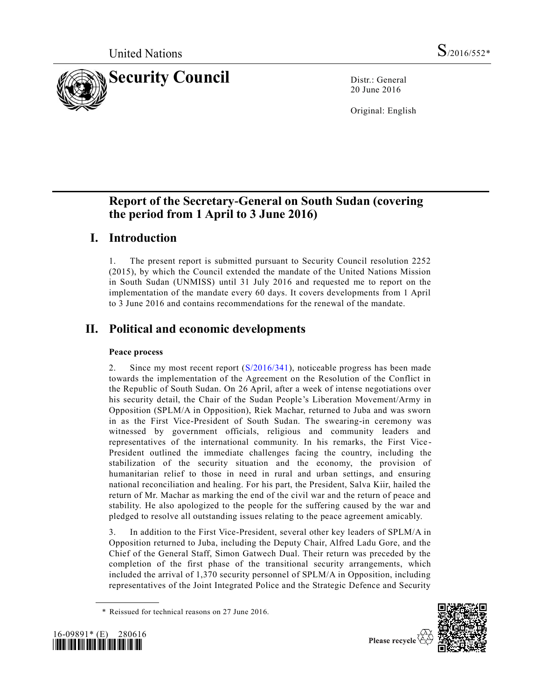

20 June 2016

Original: English

# **Report of the Secretary-General on South Sudan (covering the period from 1 April to 3 June 2016)**

# **I. Introduction**

1. The present report is submitted pursuant to Security Council resolution 2252 (2015), by which the Council extended the mandate of the United Nations Mission in South Sudan (UNMISS) until 31 July 2016 and requested me to report on the implementation of the mandate every 60 days. It covers developments from 1 April to 3 June 2016 and contains recommendations for the renewal of the mandate.

# **II. Political and economic developments**

### **Peace process**

2. Since my most recent report [\(S/2016/341\)](http://undocs.org/S/2016/341), noticeable progress has been made towards the implementation of the Agreement on the Resolution of the Conflict in the Republic of South Sudan. On 26 April, after a week of intense negotiations over his security detail, the Chair of the Sudan People's Liberation Movement/Army in Opposition (SPLM/A in Opposition), Riek Machar, returned to Juba and was sworn in as the First Vice-President of South Sudan. The swearing-in ceremony was witnessed by government officials, religious and community leaders and representatives of the international community. In his remarks, the First Vice - President outlined the immediate challenges facing the country, including the stabilization of the security situation and the economy, the provision of humanitarian relief to those in need in rural and urban settings, and ensuring national reconciliation and healing. For his part, the President, Salva Kiir, hailed the return of Mr. Machar as marking the end of the civil war and the return of peace and stability. He also apologized to the people for the suffering caused by the war and pledged to resolve all outstanding issues relating to the peace agreement amicably.

3. In addition to the First Vice-President, several other key leaders of SPLM/A in Opposition returned to Juba, including the Deputy Chair, Alfred Ladu Gore, and the Chief of the General Staff, Simon Gatwech Dual. Their return was preceded by the completion of the first phase of the transitional security arrangements, which included the arrival of 1,370 security personnel of SPLM/A in Opposition, including representatives of the Joint Integrated Police and the Strategic Defence and Security

<sup>\*</sup> Reissued for technical reasons on 27 June 2016.



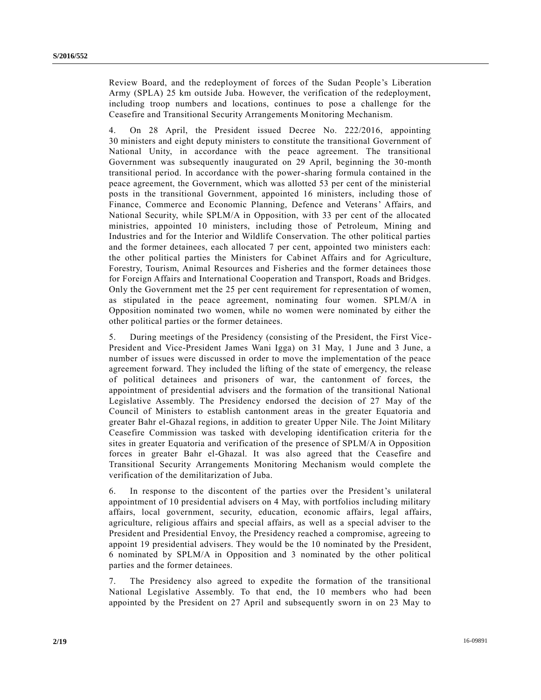Review Board, and the redeployment of forces of the Sudan People's Liberation Army (SPLA) 25 km outside Juba. However, the verification of the redeployment, including troop numbers and locations, continues to pose a challenge for the Ceasefire and Transitional Security Arrangements Monitoring Mechanism.

4. On 28 April, the President issued Decree No. 222/2016, appointing 30 ministers and eight deputy ministers to constitute the transitional Government of National Unity, in accordance with the peace agreement. The transitional Government was subsequently inaugurated on 29 April, beginning the 30-month transitional period. In accordance with the power-sharing formula contained in the peace agreement, the Government, which was allotted 53 per cent of the ministerial posts in the transitional Government, appointed 16 ministers, including those of Finance, Commerce and Economic Planning, Defence and Veterans' Affairs, and National Security, while SPLM/A in Opposition, with 33 per cent of the allocated ministries, appointed 10 ministers, including those of Petroleum, Mining and Industries and for the Interior and Wildlife Conservation. The other political parties and the former detainees, each allocated 7 per cent, appointed two ministers each: the other political parties the Ministers for Cabinet Affairs and for Agriculture, Forestry, Tourism, Animal Resources and Fisheries and the former detainees those for Foreign Affairs and International Cooperation and Transport, Roads and Bridges. Only the Government met the 25 per cent requirement for representation of women, as stipulated in the peace agreement, nominating four women. SPLM/A in Opposition nominated two women, while no women were nominated by either the other political parties or the former detainees.

5. During meetings of the Presidency (consisting of the President, the First Vice-President and Vice-President James Wani Igga) on 31 May, 1 June and 3 June, a number of issues were discussed in order to move the implementation of the peace agreement forward. They included the lifting of the state of emergency, the release of political detainees and prisoners of war, the cantonment of forces, the appointment of presidential advisers and the formation of the transitional National Legislative Assembly. The Presidency endorsed the decision of 27 May of the Council of Ministers to establish cantonment areas in the greater Equatoria and greater Bahr el-Ghazal regions, in addition to greater Upper Nile. The Joint Military Ceasefire Commission was tasked with developing identification criteria for th e sites in greater Equatoria and verification of the presence of SPLM/A in Opposition forces in greater Bahr el-Ghazal. It was also agreed that the Ceasefire and Transitional Security Arrangements Monitoring Mechanism would complete the verification of the demilitarization of Juba.

6. In response to the discontent of the parties over the President's unilateral appointment of 10 presidential advisers on 4 May, with portfolios including military affairs, local government, security, education, economic affairs, legal affairs, agriculture, religious affairs and special affairs, as well as a special adviser to the President and Presidential Envoy, the Presidency reached a compromise, agreeing to appoint 19 presidential advisers. They would be the 10 nominated by the President, 6 nominated by SPLM/A in Opposition and 3 nominated by the other political parties and the former detainees.

7. The Presidency also agreed to expedite the formation of the transitional National Legislative Assembly. To that end, the 10 members who had been appointed by the President on 27 April and subsequently sworn in on 23 May to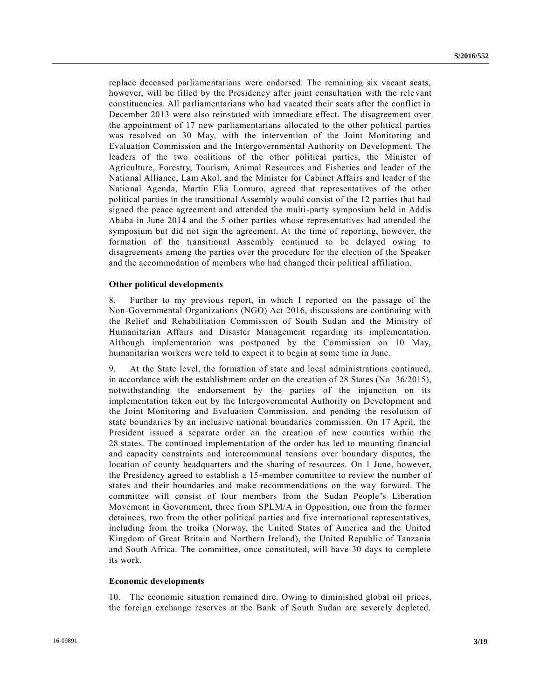replace deceased parliamentarians were endorsed. The remaining six vacant seats, however, will be filled by the Presidency after joint consultation with the rele vant constituencies. All parliamentarians who had vacated their seats after the conflict in December 2013 were also reinstated with immediate effect. The disagreement over the appointment of 17 new parliamentarians allocated to the other political parties was resolved on 30 May, with the intervention of the Joint Monitoring and Evaluation Commission and the Intergovernmental Authority on Development. The leaders of the two coalitions of the other political parties, the Minister of Agriculture, Forestry, Tourism, Animal Resources and Fisheries and leader of the National Alliance, Lam Akol, and the Minister for Cabinet Affairs and leader of the National Agenda, Martin Elia Lomuro, agreed that representatives of the other political parties in the transitional Assembly would consist of the 12 parties that had signed the peace agreement and attended the multi-party symposium held in Addis Ababa in June 2014 and the 5 other parties whose representatives had attended the symposium but did not sign the agreement. At the time of reporting, however, the formation of the transitional Assembly continued to be delayed owing to disagreements among the parties over the procedure for the election of the Speaker and the accommodation of members who had changed their political affiliation.

#### **Other political developments**

8. Further to my previous report, in which I reported on the passage of the Non-Governmental Organizations (NGO) Act 2016, discussions are continuing with the Relief and Rehabilitation Commission of South Sudan and the Ministry of Humanitarian Affairs and Disaster Management regarding its implementation. Although implementation was postponed by the Commission on 10 May, humanitarian workers were told to expect it to begin at some time in June.

9. At the State level, the formation of state and local administrations continued, in accordance with the establishment order on the creation of 28 States (No. 36/2015), notwithstanding the endorsement by the parties of the injunction on its implementation taken out by the Intergovernmental Authority on Development and the Joint Monitoring and Evaluation Commission, and pending the resolution of state boundaries by an inclusive national boundaries commission. On 17 April, the President issued a separate order on the creation of new counties within the 28 states. The continued implementation of the order has led to mounting financial and capacity constraints and intercommunal tensions over boundary disputes, the location of county headquarters and the sharing of resources. On 1 June, however, the Presidency agreed to establish a 15-member committee to review the number of states and their boundaries and make recommendations on the way forward. The committee will consist of four members from the Sudan People's Liberation Movement in Government, three from SPLM/A in Opposition, one from the former detainees, two from the other political parties and five international representatives, including from the troika (Norway, the United States of America and the United Kingdom of Great Britain and Northern Ireland), the United Republic of Tanzania and South Africa. The committee, once constituted, will have 30 days to complete its work.

#### **Economic developments**

10. The economic situation remained dire. Owing to diminished global oil prices, the foreign exchange reserves at the Bank of South Sudan are severely depleted.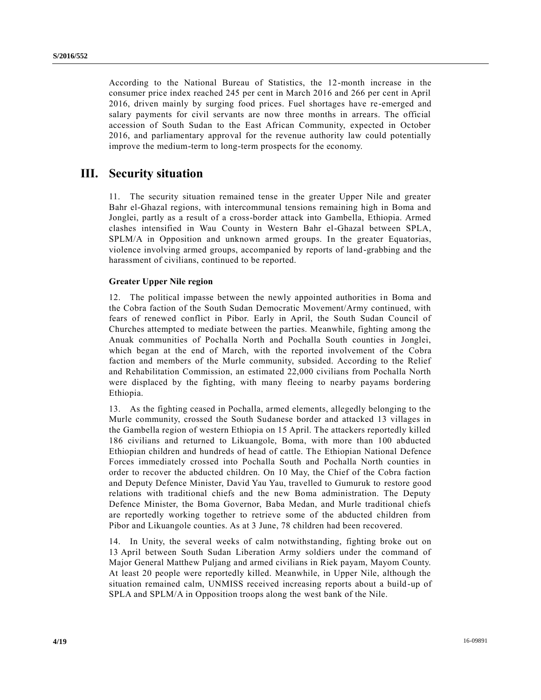According to the National Bureau of Statistics, the 12-month increase in the consumer price index reached 245 per cent in March 2016 and 266 per cent in April 2016, driven mainly by surging food prices. Fuel shortages have re-emerged and salary payments for civil servants are now three months in arrears. The official accession of South Sudan to the East African Community, expected in October 2016, and parliamentary approval for the revenue authority law could potentially improve the medium-term to long-term prospects for the economy.

# **III. Security situation**

11. The security situation remained tense in the greater Upper Nile and greater Bahr el-Ghazal regions, with intercommunal tensions remaining high in Boma and Jonglei, partly as a result of a cross-border attack into Gambella, Ethiopia. Armed clashes intensified in Wau County in Western Bahr el-Ghazal between SPLA, SPLM/A in Opposition and unknown armed groups. In the greater Equatorias, violence involving armed groups, accompanied by reports of land-grabbing and the harassment of civilians, continued to be reported.

### **Greater Upper Nile region**

12. The political impasse between the newly appointed authorities in Boma and the Cobra faction of the South Sudan Democratic Movement/Army continued, with fears of renewed conflict in Pibor. Early in April, the South Sudan Council of Churches attempted to mediate between the parties. Meanwhile, fighting among the Anuak communities of Pochalla North and Pochalla South counties in Jonglei, which began at the end of March, with the reported involvement of the Cobra faction and members of the Murle community, subsided. According to the Relief and Rehabilitation Commission, an estimated 22,000 civilians from Pochalla North were displaced by the fighting, with many fleeing to nearby payams bordering Ethiopia.

13. As the fighting ceased in Pochalla, armed elements, allegedly belonging to the Murle community, crossed the South Sudanese border and attacked 13 villages in the Gambella region of western Ethiopia on 15 April. The attackers reportedly killed 186 civilians and returned to Likuangole, Boma, with more than 100 abducted Ethiopian children and hundreds of head of cattle. The Ethiopian National Defence Forces immediately crossed into Pochalla South and Pochalla North counties in order to recover the abducted children. On 10 May, the Chief of the Cobra faction and Deputy Defence Minister, David Yau Yau, travelled to Gumuruk to restore good relations with traditional chiefs and the new Boma administration. The Deputy Defence Minister, the Boma Governor, Baba Medan, and Murle traditional chiefs are reportedly working together to retrieve some of the abducted children from Pibor and Likuangole counties. As at 3 June, 78 children had been recovered.

14. In Unity, the several weeks of calm notwithstanding, fighting broke out on 13 April between South Sudan Liberation Army soldiers under the command of Major General Matthew Puljang and armed civilians in Riek payam, Mayom County. At least 20 people were reportedly killed. Meanwhile, in Upper Nile, although the situation remained calm, UNMISS received increasing reports about a build-up of SPLA and SPLM/A in Opposition troops along the west bank of the Nile.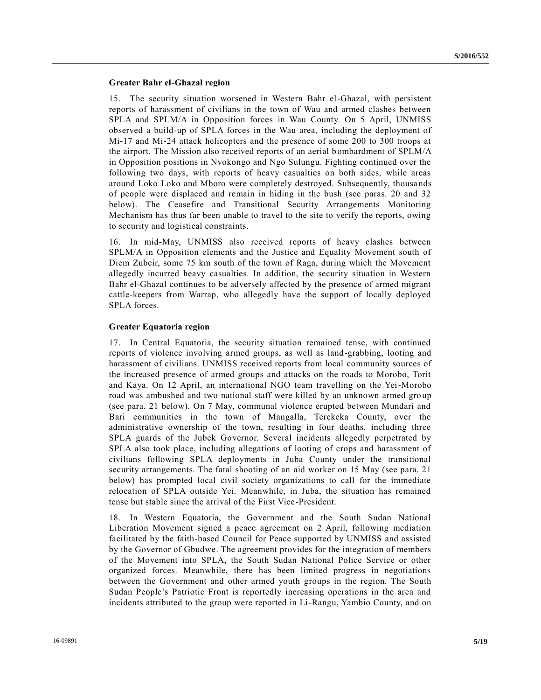#### **Greater Bahr el-Ghazal region**

15. The security situation worsened in Western Bahr el-Ghazal, with persistent reports of harassment of civilians in the town of Wau and armed clashes between SPLA and SPLM/A in Opposition forces in Wau County. On 5 April, UNMISS observed a build-up of SPLA forces in the Wau area, including the deployment of Mi-17 and Mi-24 attack helicopters and the presence of some 200 to 300 troops at the airport. The Mission also received reports of an aerial bombardment of SPLM/A in Opposition positions in Nvokongo and Ngo Sulungu. Fighting continued over the following two days, with reports of heavy casualties on both sides, while areas around Loko Loko and Mboro were completely destroyed. Subsequently, thousa nds of people were displaced and remain in hiding in the bush (see paras. 20 and 32 below). The Ceasefire and Transitional Security Arrangements Monitoring Mechanism has thus far been unable to travel to the site to verify the reports, owing to security and logistical constraints.

16. In mid-May, UNMISS also received reports of heavy clashes between SPLM/A in Opposition elements and the Justice and Equality Movement south of Diem Zubeir, some 75 km south of the town of Raga, during which the Movement allegedly incurred heavy casualties. In addition, the security situation in Western Bahr el-Ghazal continues to be adversely affected by the presence of armed migrant cattle-keepers from Warrap, who allegedly have the support of locally deployed SPLA forces.

#### **Greater Equatoria region**

17. In Central Equatoria, the security situation remained tense, with continued reports of violence involving armed groups, as well as land-grabbing, looting and harassment of civilians. UNMISS received reports from local community sources of the increased presence of armed groups and attacks on the roads to Morobo, Torit and Kaya. On 12 April, an international NGO team travelling on the Yei-Morobo road was ambushed and two national staff were killed by an unknown armed gro up (see para. 21 below). On 7 May, communal violence erupted between Mundari and Bari communities in the town of Mangalla, Terekeka County, over the administrative ownership of the town, resulting in four deaths, including three SPLA guards of the Jubek Governor. Several incidents allegedly perpetrated by SPLA also took place, including allegations of looting of crops and harassment of civilians following SPLA deployments in Juba County under the transitional security arrangements. The fatal shooting of an aid worker on 15 May (see para. 21 below) has prompted local civil society organizations to call for the immediate relocation of SPLA outside Yei. Meanwhile, in Juba, the situation has remained tense but stable since the arrival of the First Vice-President.

18. In Western Equatoria, the Government and the South Sudan National Liberation Movement signed a peace agreement on 2 April, following mediation facilitated by the faith-based Council for Peace supported by UNMISS and assisted by the Governor of Gbudwe. The agreement provides for the integration of members of the Movement into SPLA, the South Sudan National Police Service or other organized forces. Meanwhile, there has been limited progress in negotiations between the Government and other armed youth groups in the region. The South Sudan People's Patriotic Front is reportedly increasing operations in the area and incidents attributed to the group were reported in Li-Rangu, Yambio County, and on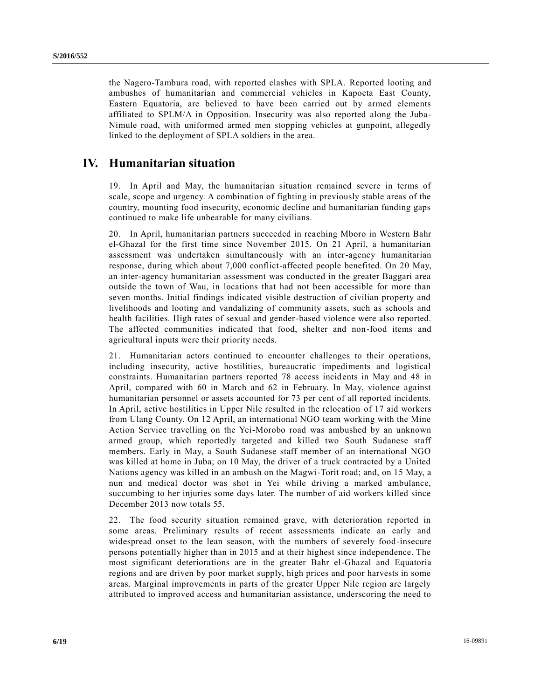the Nagero-Tambura road, with reported clashes with SPLA. Reported looting and ambushes of humanitarian and commercial vehicles in Kapoeta East County, Eastern Equatoria, are believed to have been carried out by armed elements affiliated to SPLM/A in Opposition. Insecurity was also reported along the Juba - Nimule road, with uniformed armed men stopping vehicles at gunpoint, allegedly linked to the deployment of SPLA soldiers in the area.

# **IV. Humanitarian situation**

19. In April and May, the humanitarian situation remained severe in terms of scale, scope and urgency. A combination of fighting in previously stable areas of the country, mounting food insecurity, economic decline and humanitarian funding gaps continued to make life unbearable for many civilians.

20. In April, humanitarian partners succeeded in reaching Mboro in Western Bahr el-Ghazal for the first time since November 2015. On 21 April, a humanitarian assessment was undertaken simultaneously with an inter-agency humanitarian response, during which about 7,000 conflict-affected people benefited. On 20 May, an inter-agency humanitarian assessment was conducted in the greater Baggari area outside the town of Wau, in locations that had not been accessible for more than seven months. Initial findings indicated visible destruction of civilian property and livelihoods and looting and vandalizing of community assets, such as schools and health facilities. High rates of sexual and gender-based violence were also reported. The affected communities indicated that food, shelter and non-food items and agricultural inputs were their priority needs.

21. Humanitarian actors continued to encounter challenges to their operations, including insecurity, active hostilities, bureaucratic impediments and logistical constraints. Humanitarian partners reported 78 access incidents in May and 48 in April, compared with 60 in March and 62 in February. In May, violence against humanitarian personnel or assets accounted for 73 per cent of all reported incidents. In April, active hostilities in Upper Nile resulted in the relocation of 17 aid workers from Ulang County. On 12 April, an international NGO team working with the Mine Action Service travelling on the Yei-Morobo road was ambushed by an unknown armed group, which reportedly targeted and killed two South Sudanese staff members. Early in May, a South Sudanese staff member of an international NGO was killed at home in Juba; on 10 May, the driver of a truck contracted by a United Nations agency was killed in an ambush on the Magwi-Torit road; and, on 15 May, a nun and medical doctor was shot in Yei while driving a marked ambulance, succumbing to her injuries some days later. The number of aid workers killed since December 2013 now totals 55.

22. The food security situation remained grave, with deterioration reported in some areas. Preliminary results of recent assessments indicate an early and widespread onset to the lean season, with the numbers of severely food-insecure persons potentially higher than in 2015 and at their highest since independence. The most significant deteriorations are in the greater Bahr el-Ghazal and Equatoria regions and are driven by poor market supply, high prices and poor harvests in some areas. Marginal improvements in parts of the greater Upper Nile region are largely attributed to improved access and humanitarian assistance, underscoring the need to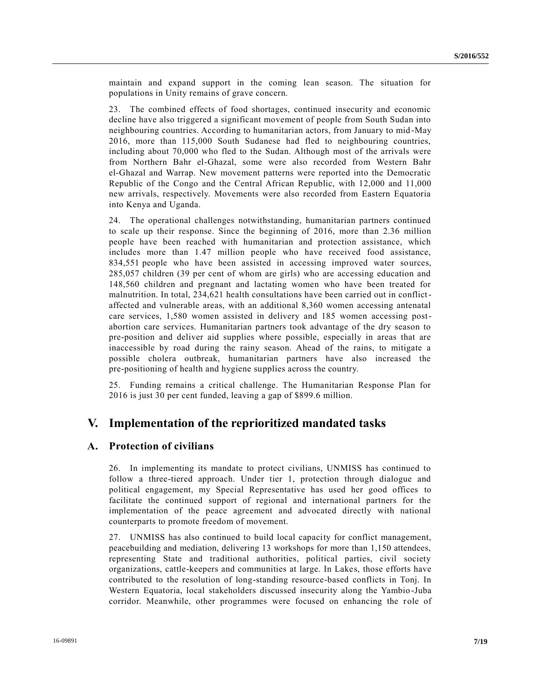maintain and expand support in the coming lean season. The situation for populations in Unity remains of grave concern.

23. The combined effects of food shortages, continued insecurity and economic decline have also triggered a significant movement of people from South Sudan into neighbouring countries. According to humanitarian actors, from January to mid -May 2016, more than 115,000 South Sudanese had fled to neighbouring countries, including about 70,000 who fled to the Sudan. Although most of the arrivals were from Northern Bahr el-Ghazal, some were also recorded from Western Bahr el-Ghazal and Warrap. New movement patterns were reported into the Democratic Republic of the Congo and the Central African Republic, with 12,000 and 11,000 new arrivals, respectively. Movements were also recorded from Eastern Equatoria into Kenya and Uganda.

24. The operational challenges notwithstanding, humanitarian partners continued to scale up their response. Since the beginning of 2016, more than 2.36 million people have been reached with humanitarian and protection assistance, which includes more than 1.47 million people who have received food assistance, 834,551 people who have been assisted in accessing improved water sources, 285,057 children (39 per cent of whom are girls) who are accessing education and 148,560 children and pregnant and lactating women who have been treated for malnutrition. In total, 234,621 health consultations have been carried out in conflictaffected and vulnerable areas, with an additional 8,360 women accessing antenatal care services, 1,580 women assisted in delivery and 185 women accessing postabortion care services. Humanitarian partners took advantage of the dry season to pre-position and deliver aid supplies where possible, especially in areas that are inaccessible by road during the rainy season. Ahead of the rains, to mitigate a possible cholera outbreak, humanitarian partners have also increased the pre-positioning of health and hygiene supplies across the country.

25. Funding remains a critical challenge. The Humanitarian Response Plan for 2016 is just 30 per cent funded, leaving a gap of \$899.6 million.

## **V. Implementation of the reprioritized mandated tasks**

## **A. Protection of civilians**

26. In implementing its mandate to protect civilians, UNMISS has continued to follow a three-tiered approach. Under tier 1, protection through dialogue and political engagement, my Special Representative has used her good offices to facilitate the continued support of regional and international partners for the implementation of the peace agreement and advocated directly with national counterparts to promote freedom of movement.

27. UNMISS has also continued to build local capacity for conflict management, peacebuilding and mediation, delivering 13 workshops for more than 1,150 attendees, representing State and traditional authorities, political parties, civil society organizations, cattle-keepers and communities at large. In Lakes, those efforts have contributed to the resolution of long-standing resource-based conflicts in Tonj. In Western Equatoria, local stakeholders discussed insecurity along the Yambio-Juba corridor. Meanwhile, other programmes were focused on enhancing the role of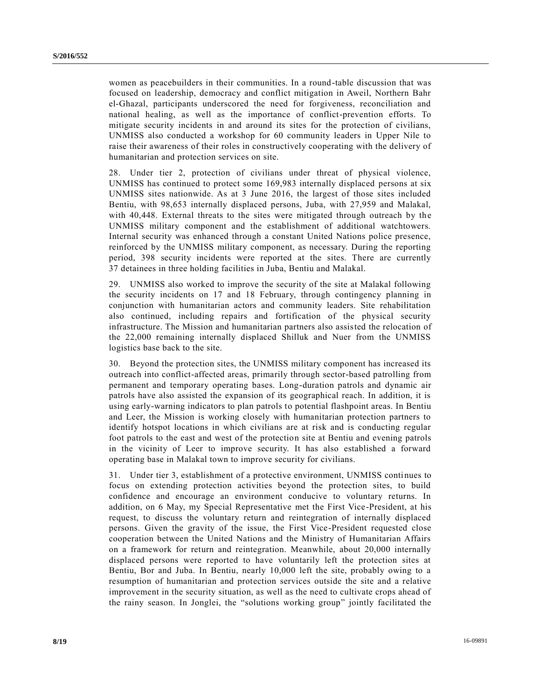women as peacebuilders in their communities. In a round-table discussion that was focused on leadership, democracy and conflict mitigation in Aweil, Northern Bahr el-Ghazal, participants underscored the need for forgiveness, reconciliation and national healing, as well as the importance of conflict-prevention efforts. To mitigate security incidents in and around its sites for the protection of civilians, UNMISS also conducted a workshop for 60 community leaders in Upper Nile to raise their awareness of their roles in constructively cooperating with the delivery of humanitarian and protection services on site.

28. Under tier 2, protection of civilians under threat of physical violence, UNMISS has continued to protect some 169,983 internally displaced persons at six UNMISS sites nationwide. As at 3 June 2016, the largest of those sites included Bentiu, with 98,653 internally displaced persons, Juba, with 27,959 and Malakal, with 40,448. External threats to the sites were mitigated through outreach by the UNMISS military component and the establishment of additional watchtowers. Internal security was enhanced through a constant United Nations police presence, reinforced by the UNMISS military component, as necessary. During the reporting period, 398 security incidents were reported at the sites. There are currently 37 detainees in three holding facilities in Juba, Bentiu and Malakal.

29. UNMISS also worked to improve the security of the site at Malakal following the security incidents on 17 and 18 February, through contingency planning in conjunction with humanitarian actors and community leaders. Site rehabilitation also continued, including repairs and fortification of the physical security infrastructure. The Mission and humanitarian partners also assisted the relocation of the 22,000 remaining internally displaced Shilluk and Nuer from the UNMISS logistics base back to the site.

30. Beyond the protection sites, the UNMISS military component has increased its outreach into conflict-affected areas, primarily through sector-based patrolling from permanent and temporary operating bases. Long-duration patrols and dynamic air patrols have also assisted the expansion of its geographical reach. In addition, it is using early-warning indicators to plan patrols to potential flashpoint areas. In Bentiu and Leer, the Mission is working closely with humanitarian protection partners to identify hotspot locations in which civilians are at risk and is conducting regular foot patrols to the east and west of the protection site at Bentiu and evening patrols in the vicinity of Leer to improve security. It has also established a forward operating base in Malakal town to improve security for civilians.

31. Under tier 3, establishment of a protective environment, UNMISS continues to focus on extending protection activities beyond the protection sites, to build confidence and encourage an environment conducive to voluntary returns. In addition, on 6 May, my Special Representative met the First Vice-President, at his request, to discuss the voluntary return and reintegration of internally displaced persons. Given the gravity of the issue, the First Vice-President requested close cooperation between the United Nations and the Ministry of Humanitarian Affairs on a framework for return and reintegration. Meanwhile, about 20,000 internally displaced persons were reported to have voluntarily left the protection sites at Bentiu, Bor and Juba. In Bentiu, nearly 10,000 left the site, probably owing to a resumption of humanitarian and protection services outside the site and a relative improvement in the security situation, as well as the need to cultivate crops ahead of the rainy season. In Jonglei, the "solutions working group" jointly facilitated the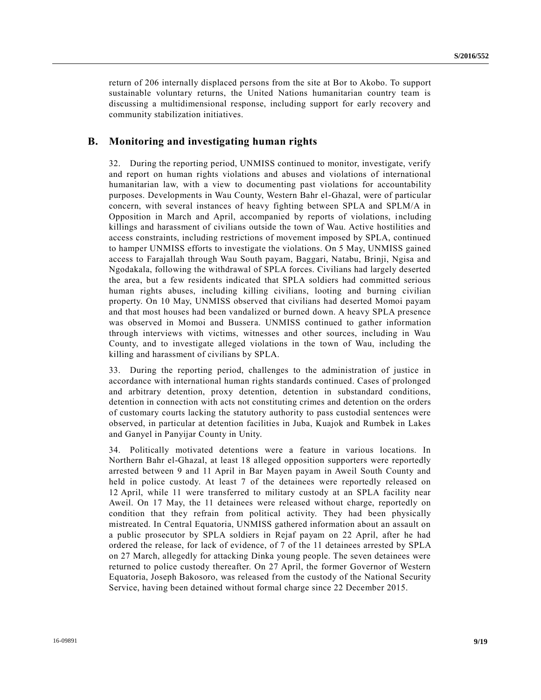return of 206 internally displaced persons from the site at Bor to Akobo. To support sustainable voluntary returns, the United Nations humanitarian country team is discussing a multidimensional response, including support for early recovery and community stabilization initiatives.

#### **B. Monitoring and investigating human rights**

32. During the reporting period, UNMISS continued to monitor, investigate, verify and report on human rights violations and abuses and violations of international humanitarian law, with a view to documenting past violations for accountability purposes. Developments in Wau County, Western Bahr el-Ghazal, were of particular concern, with several instances of heavy fighting between SPLA and SPLM/A in Opposition in March and April, accompanied by reports of violations, including killings and harassment of civilians outside the town of Wau. Active hostilities and access constraints, including restrictions of movement imposed by SPLA, continued to hamper UNMISS efforts to investigate the violations. On 5 May, UNMISS gained access to Farajallah through Wau South payam, Baggari, Natabu, Brinji, Ngisa and Ngodakala, following the withdrawal of SPLA forces. Civilians had largely deserted the area, but a few residents indicated that SPLA soldiers had committed serious human rights abuses, including killing civilians, looting and burning civilian property. On 10 May, UNMISS observed that civilians had deserted Momoi payam and that most houses had been vandalized or burned down. A heavy SPLA presence was observed in Momoi and Bussera. UNMISS continued to gather information through interviews with victims, witnesses and other sources, including in Wau County, and to investigate alleged violations in the town of Wau, including the killing and harassment of civilians by SPLA.

33. During the reporting period, challenges to the administration of justice in accordance with international human rights standards continued. Cases of prolonged and arbitrary detention, proxy detention, detention in substandard conditions, detention in connection with acts not constituting crimes and detention on the orders of customary courts lacking the statutory authority to pass custodial sentences were observed, in particular at detention facilities in Juba, Kuajok and Rumbek in Lakes and Ganyel in Panyijar County in Unity.

34. Politically motivated detentions were a feature in various locations. In Northern Bahr el-Ghazal, at least 18 alleged opposition supporters were reportedly arrested between 9 and 11 April in Bar Mayen payam in Aweil South County and held in police custody. At least 7 of the detainees were reportedly released on 12 April, while 11 were transferred to military custody at an SPLA facility near Aweil. On 17 May, the 11 detainees were released without charge, reportedly on condition that they refrain from political activity. They had been physically mistreated. In Central Equatoria, UNMISS gathered information about an assault on a public prosecutor by SPLA soldiers in Rejaf payam on 22 April, after he had ordered the release, for lack of evidence, of 7 of the 11 detainees arrested by SPLA on 27 March, allegedly for attacking Dinka young people. The seven detainees were returned to police custody thereafter. On 27 April, the former Governor of Western Equatoria, Joseph Bakosoro, was released from the custody of the National Security Service, having been detained without formal charge since 22 December 2015.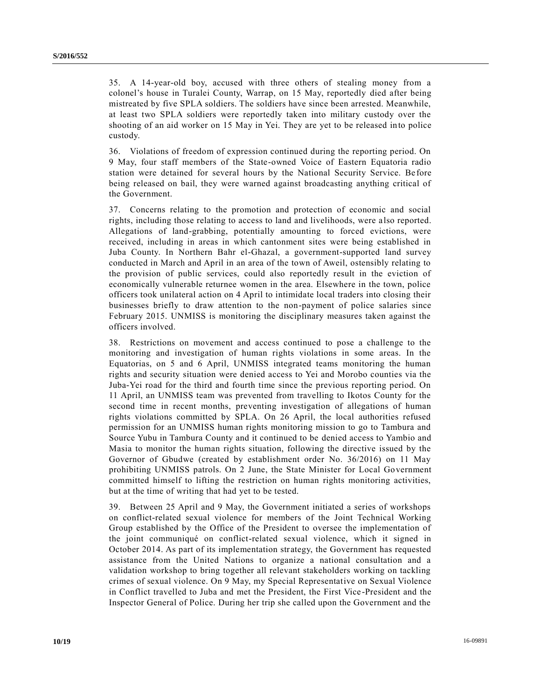35. A 14-year-old boy, accused with three others of stealing money from a colonel's house in Turalei County, Warrap, on 15 May, reportedly died after being mistreated by five SPLA soldiers. The soldiers have since been arrested. Meanwhile, at least two SPLA soldiers were reportedly taken into military custody over the shooting of an aid worker on 15 May in Yei. They are yet to be released into police custody.

36. Violations of freedom of expression continued during the reporting period. On 9 May, four staff members of the State-owned Voice of Eastern Equatoria radio station were detained for several hours by the National Security Service. Be fore being released on bail, they were warned against broadcasting anything critical of the Government.

37. Concerns relating to the promotion and protection of economic and social rights, including those relating to access to land and livelihoods, were a lso reported. Allegations of land-grabbing, potentially amounting to forced evictions, were received, including in areas in which cantonment sites were being established in Juba County. In Northern Bahr el-Ghazal, a government-supported land survey conducted in March and April in an area of the town of Aweil, ostensibly relating to the provision of public services, could also reportedly result in the eviction of economically vulnerable returnee women in the area. Elsewhere in the town, police officers took unilateral action on 4 April to intimidate local traders into closing their businesses briefly to draw attention to the non-payment of police salaries since February 2015. UNMISS is monitoring the disciplinary measures taken against the officers involved.

38. Restrictions on movement and access continued to pose a challenge to the monitoring and investigation of human rights violations in some areas. In the Equatorias, on 5 and 6 April, UNMISS integrated teams monitoring the human rights and security situation were denied access to Yei and Morobo counties via the Juba-Yei road for the third and fourth time since the previous reporting period. On 11 April, an UNMISS team was prevented from travelling to Ikotos County for the second time in recent months, preventing investigation of allegations of human rights violations committed by SPLA. On 26 April, the local authorities refused permission for an UNMISS human rights monitoring mission to go to Tambura and Source Yubu in Tambura County and it continued to be denied access to Yambio and Masia to monitor the human rights situation, following the directive issued by the Governor of Gbudwe (created by establishment order No. 36/2016) on 11 May prohibiting UNMISS patrols. On 2 June, the State Minister for Local Government committed himself to lifting the restriction on human rights monitoring activities, but at the time of writing that had yet to be tested.

39. Between 25 April and 9 May, the Government initiated a series of workshops on conflict-related sexual violence for members of the Joint Technical Working Group established by the Office of the President to oversee the implementation of the joint communiqué on conflict-related sexual violence, which it signed in October 2014. As part of its implementation strategy, the Government has requested assistance from the United Nations to organize a national consultation and a validation workshop to bring together all relevant stakeholders working on tackling crimes of sexual violence. On 9 May, my Special Representative on Sexual Violence in Conflict travelled to Juba and met the President, the First Vice -President and the Inspector General of Police. During her trip she called upon the Government and the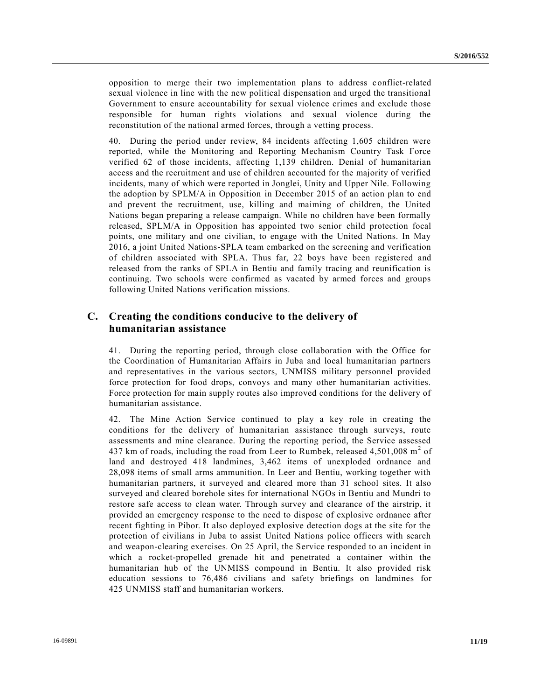opposition to merge their two implementation plans to address conflict-related sexual violence in line with the new political dispensation and urged the transitional Government to ensure accountability for sexual violence crimes and exclude those responsible for human rights violations and sexual violence during the reconstitution of the national armed forces, through a vetting process.

40. During the period under review, 84 incidents affecting 1,605 children were reported, while the Monitoring and Reporting Mechanism Country Task Force verified 62 of those incidents, affecting 1,139 children. Denial of humanitarian access and the recruitment and use of children accounted for the majority of verified incidents, many of which were reported in Jonglei, Unity and Upper Nile. Following the adoption by SPLM/A in Opposition in December 2015 of an action plan to end and prevent the recruitment, use, killing and maiming of children, the United Nations began preparing a release campaign. While no children have been formally released, SPLM/A in Opposition has appointed two senior child protection focal points, one military and one civilian, to engage with the United Nations. In May 2016, a joint United Nations-SPLA team embarked on the screening and verification of children associated with SPLA. Thus far, 22 boys have been registered and released from the ranks of SPLA in Bentiu and family tracing and reunification is continuing. Two schools were confirmed as vacated by armed forces and groups following United Nations verification missions.

## **C. Creating the conditions conducive to the delivery of humanitarian assistance**

41. During the reporting period, through close collaboration with the Office for the Coordination of Humanitarian Affairs in Juba and local humanitarian partners and representatives in the various sectors, UNMISS military personnel provided force protection for food drops, convoys and many other humanitarian activities. Force protection for main supply routes also improved conditions for the delivery of humanitarian assistance.

42. The Mine Action Service continued to play a key role in creating the conditions for the delivery of humanitarian assistance through surveys, route assessments and mine clearance. During the reporting period, the Service assessed 437 km of roads, including the road from Leer to Rumbek, released  $4,501,008$  m<sup>2</sup> of land and destroyed 418 landmines, 3,462 items of unexploded ordnance and 28,098 items of small arms ammunition. In Leer and Bentiu, working together with humanitarian partners, it surveyed and cleared more than 31 school sites. It also surveyed and cleared borehole sites for international NGOs in Bentiu and Mundri to restore safe access to clean water. Through survey and clearance of the airstrip, it provided an emergency response to the need to dispose of explosive ordnance after recent fighting in Pibor. It also deployed explosive detection dogs at the site for the protection of civilians in Juba to assist United Nations police officers with search and weapon-clearing exercises. On 25 April, the Service responded to an incident in which a rocket-propelled grenade hit and penetrated a container within the humanitarian hub of the UNMISS compound in Bentiu. It also provided risk education sessions to 76,486 civilians and safety briefings on landmines for 425 UNMISS staff and humanitarian workers.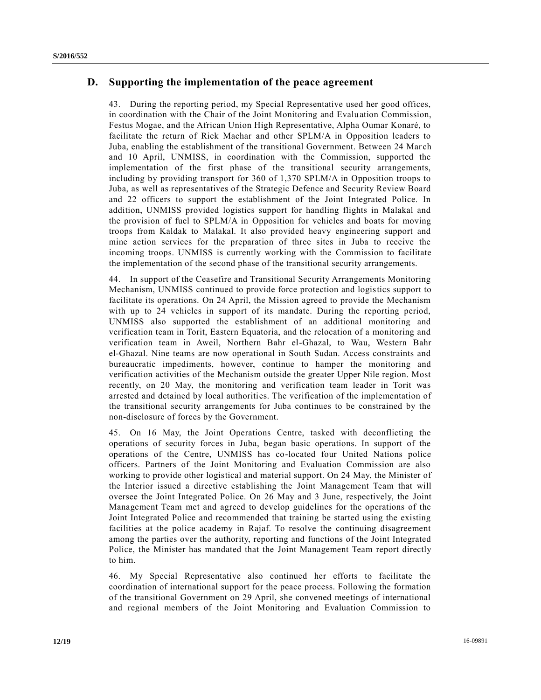## **D. Supporting the implementation of the peace agreement**

43. During the reporting period, my Special Representative used her good offices, in coordination with the Chair of the Joint Monitoring and Evaluation Commission, Festus Mogae, and the African Union High Representative, Alpha Oumar Konaré, to facilitate the return of Riek Machar and other SPLM/A in Opposition leaders to Juba, enabling the establishment of the transitional Government. Between 24 Mar ch and 10 April, UNMISS, in coordination with the Commission, supported the implementation of the first phase of the transitional security arrangements, including by providing transport for 360 of 1,370 SPLM/A in Opposition troops to Juba, as well as representatives of the Strategic Defence and Security Review Board and 22 officers to support the establishment of the Joint Integrated Police. In addition, UNMISS provided logistics support for handling flights in Malakal and the provision of fuel to SPLM/A in Opposition for vehicles and boats for moving troops from Kaldak to Malakal. It also provided heavy engineering support and mine action services for the preparation of three sites in Juba to receive the incoming troops. UNMISS is currently working with the Commission to facilitate the implementation of the second phase of the transitional security arrangements.

44. In support of the Ceasefire and Transitional Security Arrangements Monitoring Mechanism, UNMISS continued to provide force protection and logistics support to facilitate its operations. On 24 April, the Mission agreed to provide the Mechanism with up to 24 vehicles in support of its mandate. During the reporting period, UNMISS also supported the establishment of an additional monitoring and verification team in Torit, Eastern Equatoria, and the relocation of a monitoring and verification team in Aweil, Northern Bahr el-Ghazal, to Wau, Western Bahr el-Ghazal. Nine teams are now operational in South Sudan. Access constraints and bureaucratic impediments, however, continue to hamper the monitoring and verification activities of the Mechanism outside the greater Upper Nile region. Most recently, on 20 May, the monitoring and verification team leader in Torit was arrested and detained by local authorities. The verification of the implementation of the transitional security arrangements for Juba continues to be constrained by the non-disclosure of forces by the Government.

45. On 16 May, the Joint Operations Centre, tasked with deconflicting the operations of security forces in Juba, began basic operations. In support of the operations of the Centre, UNMISS has co-located four United Nations police officers. Partners of the Joint Monitoring and Evaluation Commission are also working to provide other logistical and material support. On 24 May, the Minister of the Interior issued a directive establishing the Joint Management Team that will oversee the Joint Integrated Police. On 26 May and 3 June, respectively, the Joint Management Team met and agreed to develop guidelines for the operations of the Joint Integrated Police and recommended that training be started using the existing facilities at the police academy in Rajaf. To resolve the continuing disagreement among the parties over the authority, reporting and functions of the Joint Integrated Police, the Minister has mandated that the Joint Management Team report directly to him.

46. My Special Representative also continued her efforts to facilitate the coordination of international support for the peace process. Following the formation of the transitional Government on 29 April, she convened meetings of international and regional members of the Joint Monitoring and Evaluation Commission to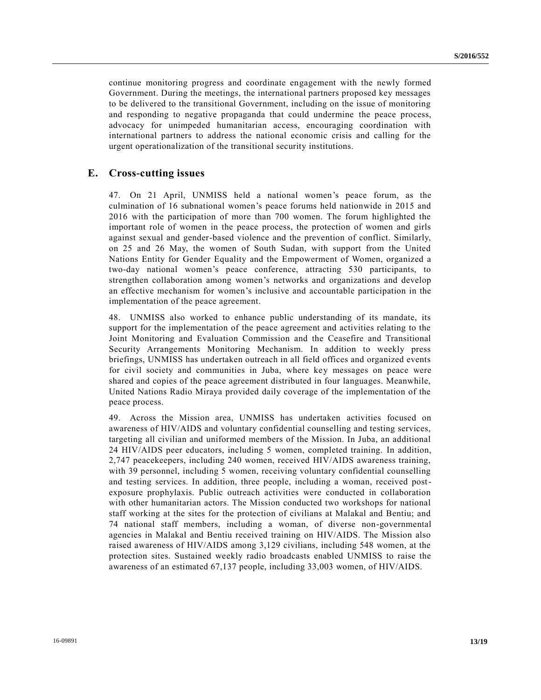continue monitoring progress and coordinate engagement with the newly formed Government. During the meetings, the international partners proposed key messages to be delivered to the transitional Government, including on the issue of monitoring and responding to negative propaganda that could undermine the peace process, advocacy for unimpeded humanitarian access, encouraging coordination with international partners to address the national economic crisis and calling for the urgent operationalization of the transitional security institutions.

### **E. Cross-cutting issues**

47. On 21 April, UNMISS held a national women's peace forum, as the culmination of 16 subnational women's peace forums held nationwide in 2015 and 2016 with the participation of more than 700 women. The forum highlighted the important role of women in the peace process, the protection of women and girls against sexual and gender-based violence and the prevention of conflict. Similarly, on 25 and 26 May, the women of South Sudan, with support from the United Nations Entity for Gender Equality and the Empowerment of Women, organized a two-day national women's peace conference, attracting 530 participants, to strengthen collaboration among women's networks and organizations and develop an effective mechanism for women's inclusive and accountable participation in the implementation of the peace agreement.

48. UNMISS also worked to enhance public understanding of its mandate, its support for the implementation of the peace agreement and activities relating to the Joint Monitoring and Evaluation Commission and the Ceasefire and Transitional Security Arrangements Monitoring Mechanism. In addition to weekly press briefings, UNMISS has undertaken outreach in all field offices and organized events for civil society and communities in Juba, where key messages on peace were shared and copies of the peace agreement distributed in four languages. Meanwhile, United Nations Radio Miraya provided daily coverage of the implementation of the peace process.

49. Across the Mission area, UNMISS has undertaken activities focused on awareness of HIV/AIDS and voluntary confidential counselling and testing services, targeting all civilian and uniformed members of the Mission. In Juba, an additional 24 HIV/AIDS peer educators, including 5 women, completed training. In addition, 2,747 peacekeepers, including 240 women, received HIV/AIDS awareness training, with 39 personnel, including 5 women, receiving voluntary confidential counselling and testing services. In addition, three people, including a woman, received postexposure prophylaxis. Public outreach activities were conducted in collaboration with other humanitarian actors. The Mission conducted two workshops for national staff working at the sites for the protection of civilians at Malakal and Bentiu; and 74 national staff members, including a woman, of diverse non-governmental agencies in Malakal and Bentiu received training on HIV/AIDS. The Mission also raised awareness of HIV/AIDS among 3,129 civilians, including 548 women, at the protection sites. Sustained weekly radio broadcasts enabled UNMISS to raise the awareness of an estimated 67,137 people, including 33,003 women, of HIV/AIDS.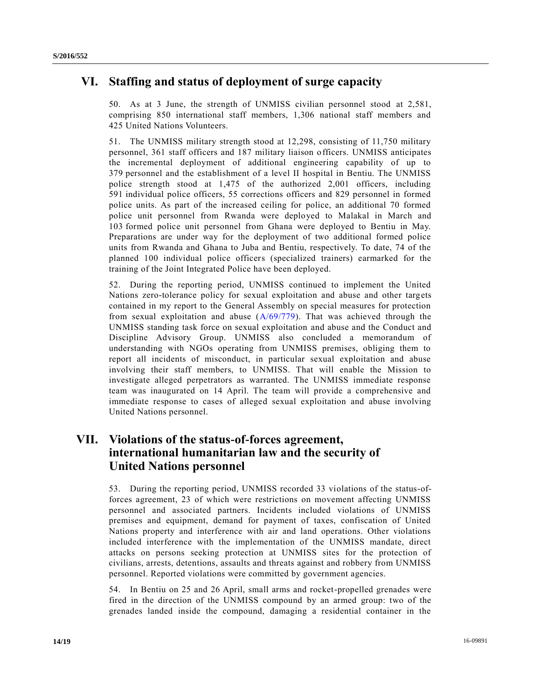# **VI. Staffing and status of deployment of surge capacity**

50. As at 3 June, the strength of UNMISS civilian personnel stood at 2,581, comprising 850 international staff members, 1,306 national staff members and 425 United Nations Volunteers.

51. The UNMISS military strength stood at 12,298, consisting of 11,750 military personnel, 361 staff officers and 187 military liaison officers. UNMISS anticipates the incremental deployment of additional engineering capability of up to 379 personnel and the establishment of a level II hospital in Bentiu. The UNMISS police strength stood at 1,475 of the authorized 2,001 officers, including 591 individual police officers, 55 corrections officers and 829 personnel in formed police units. As part of the increased ceiling for police, an additional 70 formed police unit personnel from Rwanda were deployed to Malakal in March and 103 formed police unit personnel from Ghana were deployed to Bentiu in May. Preparations are under way for the deployment of two additional formed police units from Rwanda and Ghana to Juba and Bentiu, respectively. To date, 74 of the planned 100 individual police officers (specialized trainers) earmarked for the training of the Joint Integrated Police have been deployed.

52. During the reporting period, UNMISS continued to implement the United Nations zero-tolerance policy for sexual exploitation and abuse and other targets contained in my report to the General Assembly on special measures for protection from sexual exploitation and abuse [\(A/69/779\)](http://undocs.org/A/69/779). That was achieved through the UNMISS standing task force on sexual exploitation and abuse and the Conduct and Discipline Advisory Group. UNMISS also concluded a memorandum of understanding with NGOs operating from UNMISS premises, obliging them to report all incidents of misconduct, in particular sexual exploitation and abuse involving their staff members, to UNMISS. That will enable the Mission to investigate alleged perpetrators as warranted. The UNMISS immediate response team was inaugurated on 14 April. The team will provide a comprehensive and immediate response to cases of alleged sexual exploitation and abuse involving United Nations personnel.

# **VII. Violations of the status-of-forces agreement, international humanitarian law and the security of United Nations personnel**

53. During the reporting period, UNMISS recorded 33 violations of the status-offorces agreement, 23 of which were restrictions on movement affecting UNMISS personnel and associated partners. Incidents included violations of UNMISS premises and equipment, demand for payment of taxes, confiscation of United Nations property and interference with air and land operations. Other violations included interference with the implementation of the UNMISS mandate, direct attacks on persons seeking protection at UNMISS sites for the protection of civilians, arrests, detentions, assaults and threats against and robbery from UNMISS personnel. Reported violations were committed by government agencies.

54. In Bentiu on 25 and 26 April, small arms and rocket-propelled grenades were fired in the direction of the UNMISS compound by an armed group: two of the grenades landed inside the compound, damaging a residential container in the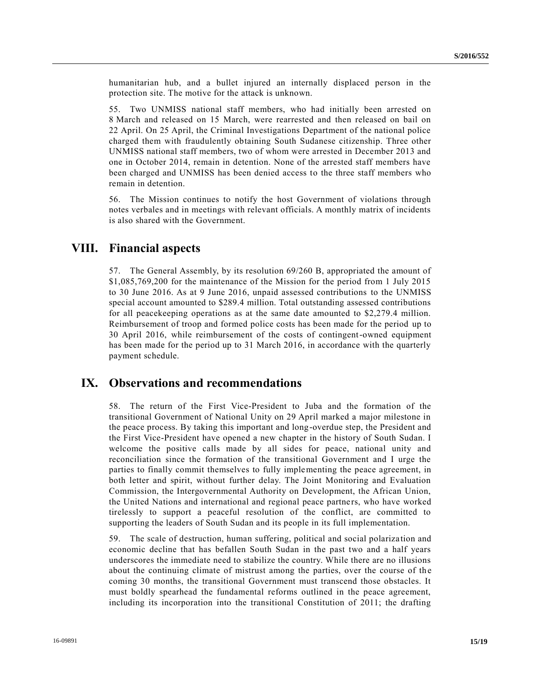humanitarian hub, and a bullet injured an internally displaced person in the protection site. The motive for the attack is unknown.

55. Two UNMISS national staff members, who had initially been arrested on 8 March and released on 15 March, were rearrested and then released on bail on 22 April. On 25 April, the Criminal Investigations Department of the national police charged them with fraudulently obtaining South Sudanese citizenship. Three other UNMISS national staff members, two of whom were arrested in December 2013 and one in October 2014, remain in detention. None of the arrested staff members have been charged and UNMISS has been denied access to the three staff members who remain in detention.

56. The Mission continues to notify the host Government of violations through notes verbales and in meetings with relevant officials. A monthly matrix of incidents is also shared with the Government.

## **VIII. Financial aspects**

57. The General Assembly, by its resolution 69/260 B, appropriated the amount of \$1,085,769,200 for the maintenance of the Mission for the period from 1 July 2015 to 30 June 2016. As at 9 June 2016, unpaid assessed contributions to the UNMISS special account amounted to \$289.4 million. Total outstanding assessed contributions for all peacekeeping operations as at the same date amounted to \$2,279.4 million. Reimbursement of troop and formed police costs has been made for the period up to 30 April 2016, while reimbursement of the costs of contingent-owned equipment has been made for the period up to 31 March 2016, in accordance with the quarterly payment schedule.

## **IX. Observations and recommendations**

58. The return of the First Vice-President to Juba and the formation of the transitional Government of National Unity on 29 April marked a major milestone in the peace process. By taking this important and long-overdue step, the President and the First Vice-President have opened a new chapter in the history of South Sudan. I welcome the positive calls made by all sides for peace, national unity and reconciliation since the formation of the transitional Government and I urge the parties to finally commit themselves to fully implementing the peace agreement, in both letter and spirit, without further delay. The Joint Monitoring and Evaluation Commission, the Intergovernmental Authority on Development, the African Union, the United Nations and international and regional peace partne rs, who have worked tirelessly to support a peaceful resolution of the conflict, are committed to supporting the leaders of South Sudan and its people in its full implementation.

59. The scale of destruction, human suffering, political and social polarization and economic decline that has befallen South Sudan in the past two and a half years underscores the immediate need to stabilize the country. While there are no illusions about the continuing climate of mistrust among the parties, over the course of the coming 30 months, the transitional Government must transcend those obstacles. It must boldly spearhead the fundamental reforms outlined in the peace agreement, including its incorporation into the transitional Constitution of 2011; the drafting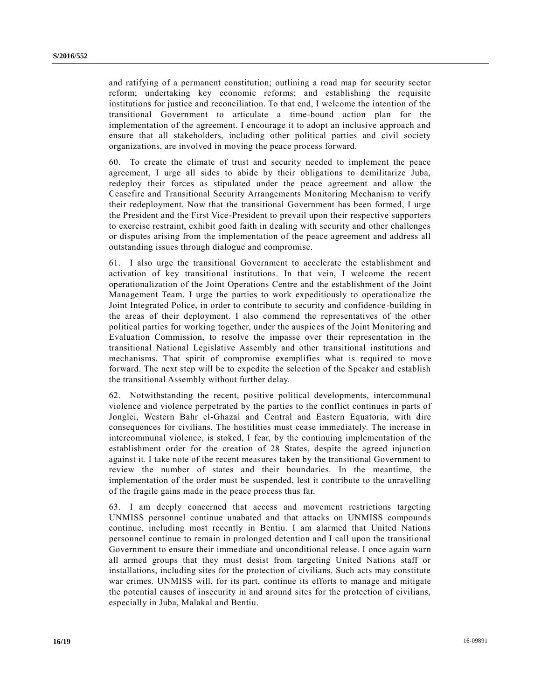and ratifying of a permanent constitution; outlining a road map for security sector reform; undertaking key economic reforms; and establishing the requisite institutions for justice and reconciliation. To that end, I welcome the intention of the transitional Government to articulate a time-bound action plan for the implementation of the agreement. I encourage it to adopt an inclusive approach and ensure that all stakeholders, including other political parties and civil society organizations, are involved in moving the peace process forward.

60. To create the climate of trust and security needed to implement the peace agreement, I urge all sides to abide by their obligations to demilitarize Juba, redeploy their forces as stipulated under the peace agreement and allow the Ceasefire and Transitional Security Arrangements Monitoring Mechanism to verify their redeployment. Now that the transitional Government has been formed, I urge the President and the First Vice-President to prevail upon their respective supporters to exercise restraint, exhibit good faith in dealing with security and other challenges or disputes arising from the implementation of the peace agreement and address all outstanding issues through dialogue and compromise.

61. I also urge the transitional Government to accelerate the establishment and activation of key transitional institutions. In that vein, I welcome the recent operationalization of the Joint Operations Centre and the establishment of the Joint Management Team. I urge the parties to work expeditiously to operationalize the Joint Integrated Police, in order to contribute to security and confidence -building in the areas of their deployment. I also commend the representatives of the other political parties for working together, under the auspices of the Joint Monitoring and Evaluation Commission, to resolve the impasse over their representation in the transitional National Legislative Assembly and other transitional institutions and mechanisms. That spirit of compromise exemplifies what is required to move forward. The next step will be to expedite the selection of the Speaker and establish the transitional Assembly without further delay.

62. Notwithstanding the recent, positive political developments, intercommunal violence and violence perpetrated by the parties to the conflict continues in parts of Jonglei, Western Bahr el-Ghazal and Central and Eastern Equatoria, with dire consequences for civilians. The hostilities must cease immediately. The increase in intercommunal violence, is stoked, I fear, by the continuing implementation of the establishment order for the creation of 28 States, despite the agreed injunction against it. I take note of the recent measures taken by the transitional Government to review the number of states and their boundaries. In the meantime, the implementation of the order must be suspended, lest it contribute to the unravelling of the fragile gains made in the peace process thus far.

63. I am deeply concerned that access and movement restrictions targeting UNMISS personnel continue unabated and that attacks on UNMISS compounds continue, including most recently in Bentiu. I am alarmed that United Nations personnel continue to remain in prolonged detention and I call upon the transitional Government to ensure their immediate and unconditional release. I once again warn all armed groups that they must desist from targeting United Nations staff or installations, including sites for the protection of civilians. Such acts may constitute war crimes. UNMISS will, for its part, continue its efforts to manage and mitigate the potential causes of insecurity in and around sites for the protection of civilians, especially in Juba, Malakal and Bentiu.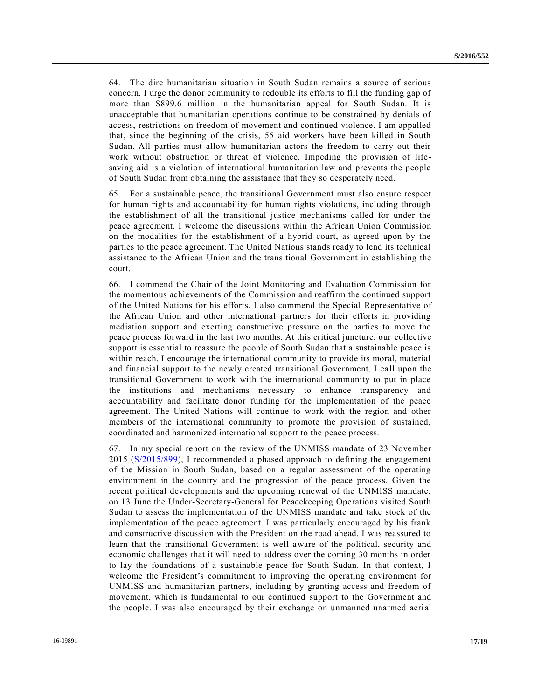64. The dire humanitarian situation in South Sudan remains a source of serious concern. I urge the donor community to redouble its efforts to fill the funding gap of more than \$899.6 million in the humanitarian appeal for South Sudan. It is unacceptable that humanitarian operations continue to be constrained by denials of access, restrictions on freedom of movement and continued violence. I am appalled that, since the beginning of the crisis, 55 aid workers have been killed in South Sudan. All parties must allow humanitarian actors the freedom to carry out their work without obstruction or threat of violence. Impeding the provision of lifesaving aid is a violation of international humanitarian law and prevents the people of South Sudan from obtaining the assistance that they so desperately need.

65. For a sustainable peace, the transitional Government must also ensure respect for human rights and accountability for human rights violations, including through the establishment of all the transitional justice mechanisms called for under the peace agreement. I welcome the discussions within the African Union Commission on the modalities for the establishment of a hybrid court, as agreed upon by the parties to the peace agreement. The United Nations stands ready to lend its technical assistance to the African Union and the transitional Government in establishing the court.

66. I commend the Chair of the Joint Monitoring and Evaluation Commission for the momentous achievements of the Commission and reaffirm the continued support of the United Nations for his efforts. I also commend the Special Representative of the African Union and other international partners for their efforts in providing mediation support and exerting constructive pressure on the parties to move the peace process forward in the last two months. At this critical juncture, our collective support is essential to reassure the people of South Sudan that a sustainable peace is within reach. I encourage the international community to provide its moral, material and financial support to the newly created transitional Government. I call upon the transitional Government to work with the international community to put in place the institutions and mechanisms necessary to enhance transparency and accountability and facilitate donor funding for the implementation of the peace agreement. The United Nations will continue to work with the region and other members of the international community to promote the provision of sustained, coordinated and harmonized international support to the peace process.

67. In my special report on the review of the UNMISS mandate of 23 November 2015 [\(S/2015/899\)](http://undocs.org/S/2015/899), I recommended a phased approach to defining the engagement of the Mission in South Sudan, based on a regular assessment of the operating environment in the country and the progression of the peace process. Given the recent political developments and the upcoming renewal of the UNMISS mandate, on 13 June the Under-Secretary-General for Peacekeeping Operations visited South Sudan to assess the implementation of the UNMISS mandate and take stock of the implementation of the peace agreement. I was particularly encouraged by his frank and constructive discussion with the President on the road ahead. I was reassured to learn that the transitional Government is well aware of the political, security and economic challenges that it will need to address over the coming 30 months in order to lay the foundations of a sustainable peace for South Sudan. In that context, I welcome the President's commitment to improving the operating environment for UNMISS and humanitarian partners, including by granting access and freedom of movement, which is fundamental to our continued support to the Government and the people. I was also encouraged by their exchange on unmanned unarmed aeri al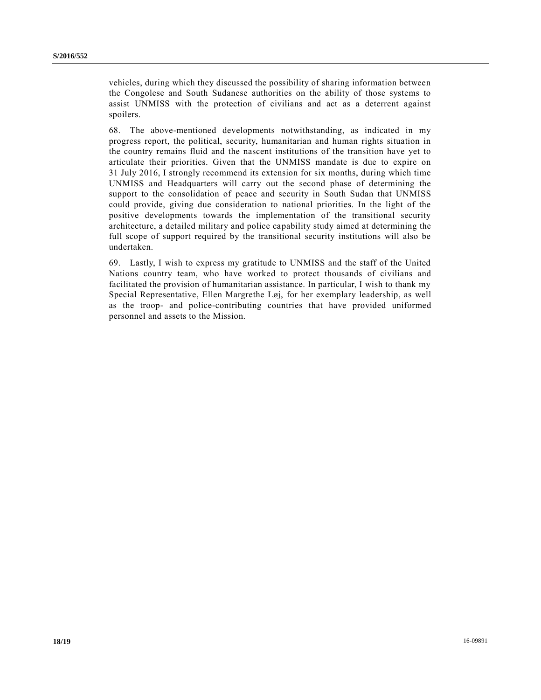vehicles, during which they discussed the possibility of sharing information between the Congolese and South Sudanese authorities on the ability of those systems to assist UNMISS with the protection of civilians and act as a deterrent against spoilers.

68. The above-mentioned developments notwithstanding, as indicated in my progress report, the political, security, humanitarian and human rights situation in the country remains fluid and the nascent institutions of the transition have yet to articulate their priorities. Given that the UNMISS mandate is due to expire on 31 July 2016, I strongly recommend its extension for six months, during which time UNMISS and Headquarters will carry out the second phase of determining the support to the consolidation of peace and security in South Sudan that UNMISS could provide, giving due consideration to national priorities. In the light of the positive developments towards the implementation of the transitional security architecture, a detailed military and police capability study aimed at determining the full scope of support required by the transitional security institutions will also be undertaken.

69. Lastly, I wish to express my gratitude to UNMISS and the staff of the United Nations country team, who have worked to protect thousands of civilians and facilitated the provision of humanitarian assistance. In particular, I wish to thank my Special Representative, Ellen Margrethe Løj, for her exemplary leadership, as well as the troop- and police-contributing countries that have provided uniformed personnel and assets to the Mission.